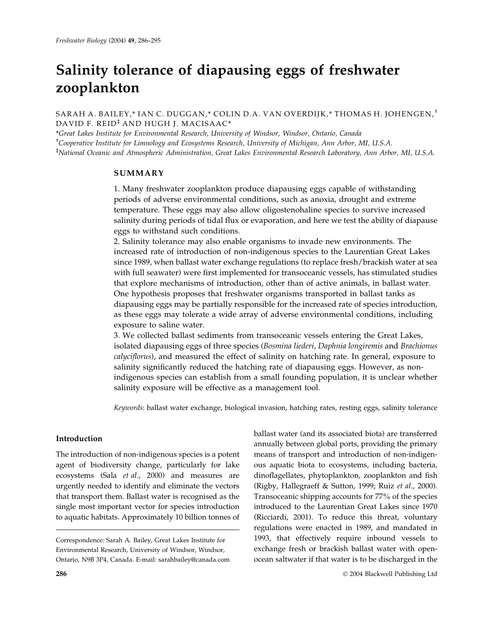# Salinity tolerance of diapausing eggs of freshwater zooplankton

# SARAH A. BAILEY,\* IAN C. DUGGAN,\* COLIN D.A. VAN OVERDIJK,\* THOMAS H. JOHENGEN, † DAVID F. REID‡ AND HUGH J. MACISAAC\*

\*Great Lakes Institute for Environmental Research, University of Windsor, Windsor, Ontario, Canada † Cooperative Institute for Limnology and Ecosystems Research, University of Michigan, Ann Arbor, MI, U.S.A. ‡ National Oceanic and Atmospheric Administration, Great Lakes Environmental Research Laboratory, Ann Arbor, MI, U.S.A.

#### SUMMARY

1. Many freshwater zooplankton produce diapausing eggs capable of withstanding periods of adverse environmental conditions, such as anoxia, drought and extreme temperature. These eggs may also allow oligostenohaline species to survive increased salinity during periods of tidal flux or evaporation, and here we test the ability of diapause eggs to withstand such conditions.

2. Salinity tolerance may also enable organisms to invade new environments. The increased rate of introduction of non-indigenous species to the Laurentian Great Lakes since 1989, when ballast water exchange regulations (to replace fresh/brackish water at sea with full seawater) were first implemented for transoceanic vessels, has stimulated studies that explore mechanisms of introduction, other than of active animals, in ballast water. One hypothesis proposes that freshwater organisms transported in ballast tanks as diapausing eggs may be partially responsible for the increased rate of species introduction, as these eggs may tolerate a wide array of adverse environmental conditions, including exposure to saline water.

3. We collected ballast sediments from transoceanic vessels entering the Great Lakes, isolated diapausing eggs of three species (Bosmina liederi, Daphnia longiremis and Brachionus calyciflorus), and measured the effect of salinity on hatching rate. In general, exposure to salinity significantly reduced the hatching rate of diapausing eggs. However, as nonindigenous species can establish from a small founding population, it is unclear whether salinity exposure will be effective as a management tool.

Keywords: ballast water exchange, biological invasion, hatching rates, resting eggs, salinity tolerance

### Introduction

The introduction of non-indigenous species is a potent agent of biodiversity change, particularly for lake ecosystems (Sala et al., 2000) and measures are urgently needed to identify and eliminate the vectors that transport them. Ballast water is recognised as the single most important vector for species introduction to aquatic habitats. Approximately 10 billion tonnes of

ballast water (and its associated biota) are transferred annually between global ports, providing the primary means of transport and introduction of non-indigenous aquatic biota to ecosystems, including bacteria, dinoflagellates, phytoplankton, zooplankton and fish (Rigby, Hallegraeff & Sutton, 1999; Ruiz et al., 2000). Transoceanic shipping accounts for 77% of the species introduced to the Laurentian Great Lakes since 1970 (Ricciardi, 2001). To reduce this threat, voluntary regulations were enacted in 1989, and mandated in 1993, that effectively require inbound vessels to exchange fresh or brackish ballast water with openocean saltwater if that water is to be discharged in the

Correspondence: Sarah A. Bailey, Great Lakes Institute for Environmental Research, University of Windsor, Windsor, Ontario, N9B 3P4, Canada. E-mail: sarahbailey@canada.com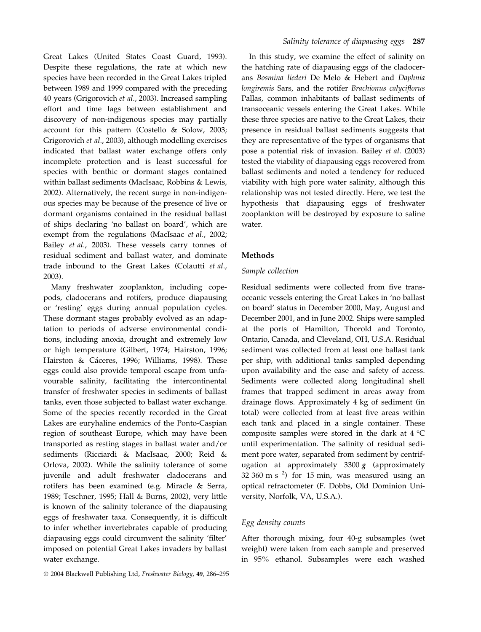Great Lakes (United States Coast Guard, 1993). Despite these regulations, the rate at which new species have been recorded in the Great Lakes tripled between 1989 and 1999 compared with the preceding 40 years (Grigorovich et al., 2003). Increased sampling effort and time lags between establishment and discovery of non-indigenous species may partially account for this pattern (Costello & Solow, 2003; Grigorovich et al., 2003), although modelling exercises indicated that ballast water exchange offers only incomplete protection and is least successful for species with benthic or dormant stages contained within ballast sediments (MacIsaac, Robbins & Lewis, 2002). Alternatively, the recent surge in non-indigenous species may be because of the presence of live or dormant organisms contained in the residual ballast of ships declaring 'no ballast on board', which are exempt from the regulations (MacIsaac et al., 2002; Bailey et al., 2003). These vessels carry tonnes of residual sediment and ballast water, and dominate trade inbound to the Great Lakes (Colautti et al., 2003).

Many freshwater zooplankton, including copepods, cladocerans and rotifers, produce diapausing or 'resting' eggs during annual population cycles. These dormant stages probably evolved as an adaptation to periods of adverse environmental conditions, including anoxia, drought and extremely low or high temperature (Gilbert, 1974; Hairston, 1996; Hairston & Cáceres, 1996; Williams, 1998). These eggs could also provide temporal escape from unfavourable salinity, facilitating the intercontinental transfer of freshwater species in sediments of ballast tanks, even those subjected to ballast water exchange. Some of the species recently recorded in the Great Lakes are euryhaline endemics of the Ponto-Caspian region of southeast Europe, which may have been transported as resting stages in ballast water and/or sediments (Ricciardi & MacIsaac, 2000; Reid & Orlova, 2002). While the salinity tolerance of some juvenile and adult freshwater cladocerans and rotifers has been examined (e.g. Miracle & Serra, 1989; Teschner, 1995; Hall & Burns, 2002), very little is known of the salinity tolerance of the diapausing eggs of freshwater taxa. Consequently, it is difficult to infer whether invertebrates capable of producing diapausing eggs could circumvent the salinity 'filter' imposed on potential Great Lakes invaders by ballast water exchange.

In this study, we examine the effect of salinity on the hatching rate of diapausing eggs of the cladocerans Bosmina liederi De Melo & Hebert and Daphnia longiremis Sars, and the rotifer Brachionus calyciflorus Pallas, common inhabitants of ballast sediments of transoceanic vessels entering the Great Lakes. While these three species are native to the Great Lakes, their presence in residual ballast sediments suggests that they are representative of the types of organisms that pose a potential risk of invasion. Bailey et al. (2003) tested the viability of diapausing eggs recovered from ballast sediments and noted a tendency for reduced viability with high pore water salinity, although this relationship was not tested directly. Here, we test the hypothesis that diapausing eggs of freshwater zooplankton will be destroyed by exposure to saline water.

# Methods

#### Sample collection

Residual sediments were collected from five transoceanic vessels entering the Great Lakes in 'no ballast on board' status in December 2000, May, August and December 2001, and in June 2002. Ships were sampled at the ports of Hamilton, Thorold and Toronto, Ontario, Canada, and Cleveland, OH, U.S.A. Residual sediment was collected from at least one ballast tank per ship, with additional tanks sampled depending upon availability and the ease and safety of access. Sediments were collected along longitudinal shell frames that trapped sediment in areas away from drainage flows. Approximately 4 kg of sediment (in total) were collected from at least five areas within each tank and placed in a single container. These composite samples were stored in the dark at 4  $^{\circ}\textrm{C}$ until experimentation. The salinity of residual sediment pore water, separated from sediment by centrifugation at approximately  $3300 g$  (approximately 32 360 m s<sup>-2</sup>) for 15 min, was measured using an optical refractometer (F. Dobbs, Old Dominion University, Norfolk, VA, U.S.A.).

#### Egg density counts

After thorough mixing, four 40-g subsamples (wet weight) were taken from each sample and preserved in 95% ethanol. Subsamples were each washed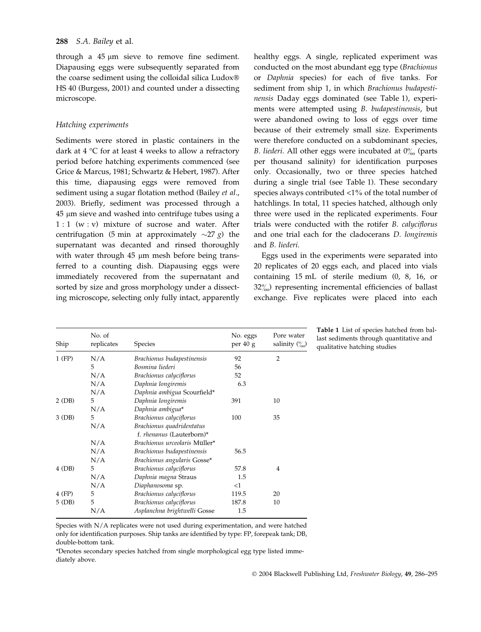through a  $45 \mu m$  sieve to remove fine sediment. Diapausing eggs were subsequently separated from the coarse sediment using the colloidal silica Ludox HS 40 (Burgess, 2001) and counted under a dissecting microscope.

## Hatching experiments

Sediments were stored in plastic containers in the dark at 4  $^{\circ}$ C for at least 4 weeks to allow a refractory period before hatching experiments commenced (see Grice & Marcus, 1981; Schwartz & Hebert, 1987). After this time, diapausing eggs were removed from sediment using a sugar flotation method (Bailey et al., 2003). Briefly, sediment was processed through a 45 lm sieve and washed into centrifuge tubes using a 1 : 1 (w : v) mixture of sucrose and water. After centrifugation (5 min at approximately  $\sim$ 27 g) the supernatant was decanted and rinsed thoroughly with water through  $45 \mu m$  mesh before being transferred to a counting dish. Diapausing eggs were immediately recovered from the supernatant and sorted by size and gross morphology under a dissecting microscope, selecting only fully intact, apparently healthy eggs. A single, replicated experiment was conducted on the most abundant egg type (Brachionus or Daphnia species) for each of five tanks. For sediment from ship 1, in which Brachionus budapestinensis Daday eggs dominated (see Table 1), experiments were attempted using B. budapestinensis, but were abandoned owing to loss of eggs over time because of their extremely small size. Experiments were therefore conducted on a subdominant species, B. liederi. All other eggs were incubated at  $0\%$  (parts per thousand salinity) for identification purposes only. Occasionally, two or three species hatched during a single trial (see Table 1). These secondary species always contributed <1% of the total number of hatchlings. In total, 11 species hatched, although only three were used in the replicated experiments. Four trials were conducted with the rotifer B. calyciflorus and one trial each for the cladocerans D. longiremis and B. liederi.

Eggs used in the experiments were separated into 20 replicates of 20 eggs each, and placed into vials containing 15 mL of sterile medium (0, 8, 16, or  $32\%$ ) representing incremental efficiencies of ballast exchange. Five replicates were placed into each

| Ship   | No. of<br>replicates | Species                                                | No. eggs<br>per $40 g$ | Pore water<br>salinity $\binom{0}{00}$ |  |
|--------|----------------------|--------------------------------------------------------|------------------------|----------------------------------------|--|
| 1 (FP) | N/A                  | Brachionus budapestinensis                             | 92                     | $\overline{2}$                         |  |
|        | 5                    | Bosmina liederi                                        | 56                     |                                        |  |
|        | N/A                  | Brachionus calyciflorus                                | 52                     |                                        |  |
|        | N/A                  | Daphnia longiremis                                     | 6.3                    |                                        |  |
|        | N/A                  | Daphnia ambigua Scourfield*                            |                        |                                        |  |
| 2 (DB) | 5                    | Daphnia longiremis                                     | 391                    | 10                                     |  |
|        | N/A                  | Daphnia ambigua*                                       |                        |                                        |  |
| 3 (DB) | 5                    | Brachionus calyciflorus                                | 100                    | 35                                     |  |
|        | N/A                  | Brachionus quadridentatus<br>f. rhenanus (Lauterborn)* |                        |                                        |  |
|        | N/A                  | Brachionus urceolaris Müller*                          |                        |                                        |  |
|        | N/A                  | Brachionus budapestinensis                             | 56.5                   |                                        |  |
|        | N/A                  | Brachionus angularis Gosse*                            |                        |                                        |  |
| 4 (DB) | 5                    | Brachionus calyciflorus                                | 57.8                   | $\overline{4}$                         |  |
|        | N/A                  | Daphnia magna Straus                                   | 1.5                    |                                        |  |
|        | N/A                  | Diaphanosoma sp.                                       | <1                     |                                        |  |
| 4 (FP) | 5                    | Brachionus calyciflorus                                | 119.5                  | 20                                     |  |
| 5 (DB) | 5                    | Brachionus calyciflorus                                | 187.8                  | 10                                     |  |
|        | N/A                  | Asplanchna brightwelli Gosse                           | 1.5                    |                                        |  |

Table 1 List of species hatched from ballast sediments through quantitative and qualitative hatching studies

Species with N/A replicates were not used during experimentation, and were hatched only for identification purposes. Ship tanks are identified by type: FP, forepeak tank; DB, double-bottom tank.

\*Denotes secondary species hatched from single morphological egg type listed immediately above.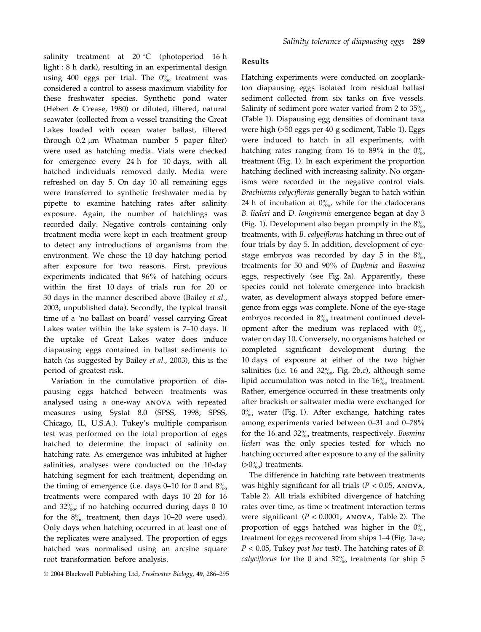salinity treatment at  $20\text{ °C}$  (photoperiod 16 h light : 8 h dark), resulting in an experimental design using 400 eggs per trial. The  $0\%$  treatment was considered a control to assess maximum viability for these freshwater species. Synthetic pond water (Hebert & Crease, 1980) or diluted, filtered, natural seawater (collected from a vessel transiting the Great Lakes loaded with ocean water ballast, filtered through  $0.2 \mu m$  Whatman number 5 paper filter) were used as hatching media. Vials were checked for emergence every 24 h for 10 days, with all hatched individuals removed daily. Media were refreshed on day 5. On day 10 all remaining eggs were transferred to synthetic freshwater media by pipette to examine hatching rates after salinity exposure. Again, the number of hatchlings was recorded daily. Negative controls containing only treatment media were kept in each treatment group to detect any introductions of organisms from the environment. We chose the 10 day hatching period after exposure for two reasons. First, previous experiments indicated that 96% of hatching occurs within the first 10 days of trials run for 20 or 30 days in the manner described above (Bailey et al., 2003; unpublished data). Secondly, the typical transit time of a 'no ballast on board' vessel carrying Great Lakes water within the lake system is 7–10 days. If the uptake of Great Lakes water does induce diapausing eggs contained in ballast sediments to hatch (as suggested by Bailey et al., 2003), this is the period of greatest risk.

Variation in the cumulative proportion of diapausing eggs hatched between treatments was analysed using a one-way ANOVA with repeated measures using Systat 8.0 (SPSS, 1998; SPSS, Chicago, IL, U.S.A.). Tukey's multiple comparison test was performed on the total proportion of eggs hatched to determine the impact of salinity on hatching rate. As emergence was inhibited at higher salinities, analyses were conducted on the 10-day hatching segment for each treatment, depending on the timing of emergence (i.e. days  $0-10$  for 0 and  $8\%$ treatments were compared with days 10–20 for 16 and  $32\%$ ; if no hatching occurred during days 0–10 for the  $8\%$  treatment, then days 10–20 were used). Only days when hatching occurred in at least one of the replicates were analysed. The proportion of eggs hatched was normalised using an arcsine square root transformation before analysis.

#### Results

Hatching experiments were conducted on zooplankton diapausing eggs isolated from residual ballast sediment collected from six tanks on five vessels. Salinity of sediment pore water varied from 2 to  $35\%$ (Table 1). Diapausing egg densities of dominant taxa were high (>50 eggs per 40 g sediment, Table 1). Eggs were induced to hatch in all experiments, with hatching rates ranging from 16 to 89% in the  $0\%$ treatment (Fig. 1). In each experiment the proportion hatching declined with increasing salinity. No organisms were recorded in the negative control vials. Brachionus calyciflorus generally began to hatch within 24 h of incubation at  $0^{\circ}_{\text{oo}}$ , while for the cladocerans B. liederi and D. longiremis emergence began at day 3 (Fig. 1). Development also began promptly in the  $8\%$ <sub>00</sub> treatments, with B. calyciflorus hatching in three out of four trials by day 5. In addition, development of eyestage embryos was recorded by day 5 in the  $8\%$ treatments for 50 and 90% of Daphnia and Bosmina eggs, respectively (see Fig. 2a). Apparently, these species could not tolerate emergence into brackish water, as development always stopped before emergence from eggs was complete. None of the eye-stage embryos recorded in  $8\%$  treatment continued development after the medium was replaced with  $0\%$ water on day 10. Conversely, no organisms hatched or completed significant development during the 10 days of exposure at either of the two higher salinities (i.e. 16 and  $32\%$ <sub>o</sub>, Fig. 2b,c), although some lipid accumulation was noted in the  $16\%$  treatment. Rather, emergence occurred in these treatments only after brackish or saltwater media were exchanged for  $0\%$  water (Fig. 1). After exchange, hatching rates among experiments varied between 0–31 and 0–78% for the 16 and  $32\%$  treatments, respectively. Bosmina liederi was the only species tested for which no hatching occurred after exposure to any of the salinity  $(>0\%)$  treatments.

The difference in hatching rate between treatments was highly significant for all trials ( $P < 0.05$ , ANOVA, Table 2). All trials exhibited divergence of hatching rates over time, as time  $\times$  treatment interaction terms were significant ( $P < 0.0001$ , ANOVA, Table 2). The proportion of eggs hatched was higher in the  $0\%$ treatment for eggs recovered from ships 1–4 (Fig. 1a-e;  $P < 0.05$ , Tukey *post hoc* test). The hatching rates of B. calyciflorus for the 0 and  $32\%$  treatments for ship 5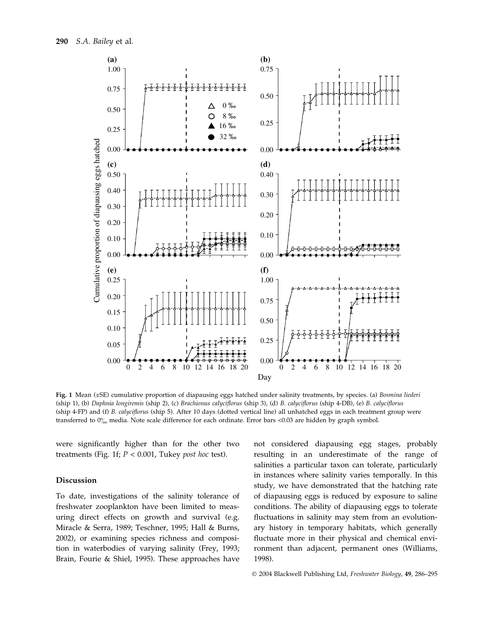

Fig. 1 Mean (±SE) cumulative proportion of diapausing eggs hatched under salinity treatments, by species. (a) Bosmina liederi (ship 1), (b) Daphnia longiremis (ship 2), (c) Brachionus calyciflorus (ship 3), (d) B. calyciflorus (ship 4-DB), (e) B. calyciflorus (ship 4-FP) and (f) B. calyciflorus (ship 5). After 10 days (dotted vertical line) all unhatched eggs in each treatment group were transferred to  $0\%$  media. Note scale difference for each ordinate. Error bars <0.03 are hidden by graph symbol.

were significantly higher than for the other two treatments (Fig. 1f;  $P < 0.001$ , Tukey post hoc test).

#### Discussion

To date, investigations of the salinity tolerance of freshwater zooplankton have been limited to measuring direct effects on growth and survival (e.g. Miracle & Serra, 1989; Teschner, 1995; Hall & Burns, 2002), or examining species richness and composition in waterbodies of varying salinity (Frey, 1993; Brain, Fourie & Shiel, 1995). These approaches have not considered diapausing egg stages, probably resulting in an underestimate of the range of salinities a particular taxon can tolerate, particularly in instances where salinity varies temporally. In this study, we have demonstrated that the hatching rate of diapausing eggs is reduced by exposure to saline conditions. The ability of diapausing eggs to tolerate fluctuations in salinity may stem from an evolutionary history in temporary habitats, which generally fluctuate more in their physical and chemical environment than adjacent, permanent ones (Williams, 1998).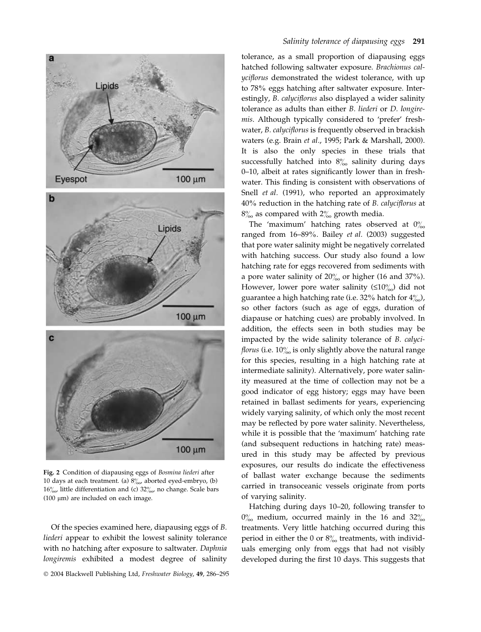

Fig. 2 Condition of diapausing eggs of Bosmina liederi after 10 days at each treatment. (a)  $8\%$  aborted eyed-embryo, (b)  $16\%_{\text{oo}}$  little differentiation and (c)  $32\%_{\text{oo}}$  no change. Scale bars (100  $\mu$ m) are included on each image.

Of the species examined here, diapausing eggs of B. liederi appear to exhibit the lowest salinity tolerance with no hatching after exposure to saltwater. Daphnia longiremis exhibited a modest degree of salinity

2004 Blackwell Publishing Ltd, Freshwater Biology, 49, 286–295

tolerance, as a small proportion of diapausing eggs hatched following saltwater exposure. Brachionus calyciflorus demonstrated the widest tolerance, with up to 78% eggs hatching after saltwater exposure. Interestingly, B. calyciflorus also displayed a wider salinity tolerance as adults than either B. liederi or D. longiremis. Although typically considered to 'prefer' freshwater, B. calyciflorus is frequently observed in brackish waters (e.g. Brain et al., 1995; Park & Marshall, 2000). It is also the only species in these trials that successfully hatched into  $8\%$  salinity during days 0–10, albeit at rates significantly lower than in freshwater. This finding is consistent with observations of Snell *et al.* (1991), who reported an approximately 40% reduction in the hatching rate of B. calyciflorus at  $8\%$  as compared with  $2\%$  growth media.

The 'maximum' hatching rates observed at  $0\%$ ranged from 16–89%. Bailey et al. (2003) suggested that pore water salinity might be negatively correlated with hatching success. Our study also found a low hatching rate for eggs recovered from sediments with a pore water salinity of  $20\%$  or higher (16 and 37%). However, lower pore water salinity  $(\leq 10\%)$  did not guarantee a high hatching rate (i.e. 32% hatch for  $4\%$ ), so other factors (such as age of eggs, duration of diapause or hatching cues) are probably involved. In addition, the effects seen in both studies may be impacted by the wide salinity tolerance of B. calyci*florus* (i.e.  $10\%$  is only slightly above the natural range for this species, resulting in a high hatching rate at intermediate salinity). Alternatively, pore water salinity measured at the time of collection may not be a good indicator of egg history; eggs may have been retained in ballast sediments for years, experiencing widely varying salinity, of which only the most recent may be reflected by pore water salinity. Nevertheless, while it is possible that the 'maximum' hatching rate (and subsequent reductions in hatching rate) measured in this study may be affected by previous exposures, our results do indicate the effectiveness of ballast water exchange because the sediments carried in transoceanic vessels originate from ports of varying salinity.

Hatching during days 10–20, following transfer to  $0\%$  medium, occurred mainly in the 16 and 32 $\%$ treatments. Very little hatching occurred during this period in either the 0 or  $8\%$  treatments, with individuals emerging only from eggs that had not visibly developed during the first 10 days. This suggests that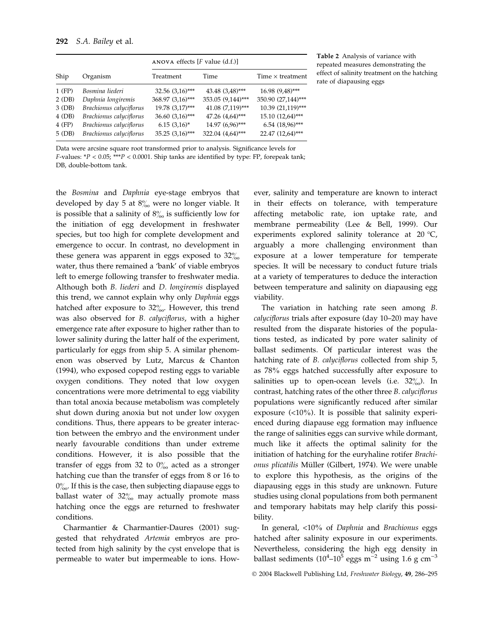|          |                         | ANOVA effects $[F$ value $(d.f.)$ |                    |                         |  |
|----------|-------------------------|-----------------------------------|--------------------|-------------------------|--|
| Ship     | Organism                | Treatment                         | Time               | Time $\times$ treatment |  |
| $1$ (FP) | Bosmina liederi         | 32.56 (3,16)***                   | 43.48 (3,48)***    | 16.98 (9,48)***         |  |
| $2$ (DB) | Daphnia longiremis      | 368.97 (3,16)***                  | 353.05 (9,144)***  | 350.90 (27,144)***      |  |
| $3$ (DB) | Brachionus calyciflorus | 19.78 (3,17)***                   | 41.08 (7,119)***   | 10.39 (21,119)***       |  |
| 4 (DB)   | Brachionus calyciflorus | 36.60 (3,16)***                   | $47.26 (4.64)$ *** | 15.10 (12,64)***        |  |
| 4 (FP)   | Brachionus calyciflorus | $6.15(3.16)^{*}$                  | 14.97 (6,96)***    | $6.54$ $(18.96)$ ***    |  |
| 5 (DB)   | Brachionus calyciflorus | 35.25 (3,16)***                   | 322.04 (4,64)***   | 22.47 (12,64)***        |  |

Table 2 Analysis of variance with repeated measures demonstrating the effect of salinity treatment on the hatching rate of diapausing eggs

Data were arcsine square root transformed prior to analysis. Significance levels for *F*-values:  $*P < 0.05$ ;  $**P < 0.0001$ . Ship tanks are identified by type: FP, forepeak tank; DB, double-bottom tank.

the Bosmina and Daphnia eye-stage embryos that developed by day 5 at  $8\%$  were no longer viable. It is possible that a salinity of  $8\%$  is sufficiently low for the initiation of egg development in freshwater species, but too high for complete development and emergence to occur. In contrast, no development in these genera was apparent in eggs exposed to  $32\%$ water, thus there remained a 'bank' of viable embryos left to emerge following transfer to freshwater media. Although both B. liederi and D. longiremis displayed this trend, we cannot explain why only Daphnia eggs hatched after exposure to  $32\%$ . However, this trend was also observed for B. calyciflorus, with a higher emergence rate after exposure to higher rather than to lower salinity during the latter half of the experiment, particularly for eggs from ship 5. A similar phenomenon was observed by Lutz, Marcus & Chanton (1994), who exposed copepod resting eggs to variable oxygen conditions. They noted that low oxygen concentrations were more detrimental to egg viability than total anoxia because metabolism was completely shut down during anoxia but not under low oxygen conditions. Thus, there appears to be greater interaction between the embryo and the environment under nearly favourable conditions than under extreme conditions. However, it is also possible that the transfer of eggs from 32 to  $0\%$  acted as a stronger hatching cue than the transfer of eggs from 8 or 16 to  $0<sub>00</sub>$ . If this is the case, then subjecting diapause eggs to ballast water of  $32\%$  may actually promote mass hatching once the eggs are returned to freshwater conditions.

Charmantier & Charmantier-Daures (2001) suggested that rehydrated Artemia embryos are protected from high salinity by the cyst envelope that is permeable to water but impermeable to ions. How-

ever, salinity and temperature are known to interact in their effects on tolerance, with temperature affecting metabolic rate, ion uptake rate, and membrane permeability (Lee & Bell, 1999). Our experiments explored salinity tolerance at 20  $\degree$ C, arguably a more challenging environment than exposure at a lower temperature for temperate species. It will be necessary to conduct future trials at a variety of temperatures to deduce the interaction between temperature and salinity on diapausing egg viability.

The variation in hatching rate seen among B. calyciflorus trials after exposure (day 10–20) may have resulted from the disparate histories of the populations tested, as indicated by pore water salinity of ballast sediments. Of particular interest was the hatching rate of B. calyciflorus collected from ship 5, as 78% eggs hatched successfully after exposure to salinities up to open-ocean levels (i.e.  $32\%$ ). In contrast, hatching rates of the other three B. calyciflorus populations were significantly reduced after similar exposure  $\left($  <10%). It is possible that salinity experienced during diapause egg formation may influence the range of salinities eggs can survive while dormant, much like it affects the optimal salinity for the initiation of hatching for the euryhaline rotifer Brachionus plicatilis Müller (Gilbert, 1974). We were unable to explore this hypothesis, as the origins of the diapausing eggs in this study are unknown. Future studies using clonal populations from both permanent and temporary habitats may help clarify this possibility.

In general, <10% of Daphnia and Brachionus eggs hatched after salinity exposure in our experiments. Nevertheless, considering the high egg density in ballast sediments (10<sup>4</sup>–10<sup>5</sup> eggs m<sup>-2</sup> using 1.6 g cm<sup>-3</sup>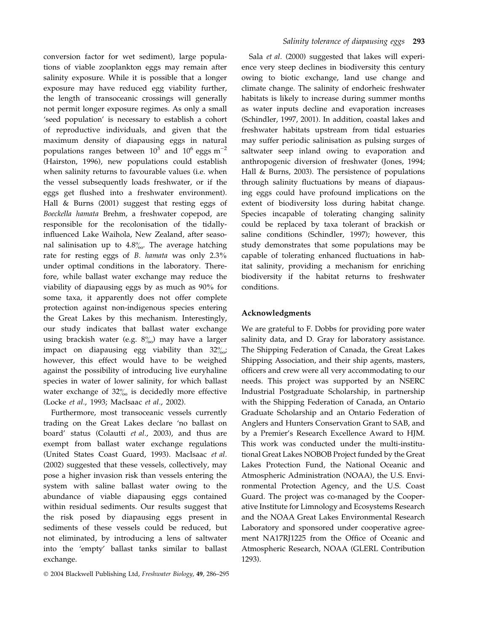conversion factor for wet sediment), large populations of viable zooplankton eggs may remain after salinity exposure. While it is possible that a longer exposure may have reduced egg viability further, the length of transoceanic crossings will generally not permit longer exposure regimes. As only a small 'seed population' is necessary to establish a cohort of reproductive individuals, and given that the maximum density of diapausing eggs in natural populations ranges between  $10^3$  and  $10^6$  eggs m<sup>-2</sup> (Hairston, 1996), new populations could establish when salinity returns to favourable values (i.e. when the vessel subsequently loads freshwater, or if the eggs get flushed into a freshwater environment). Hall & Burns (2001) suggest that resting eggs of Boeckella hamata Brehm, a freshwater copepod, are responsible for the recolonisation of the tidallyinfluenced Lake Waihola, New Zealand, after seasonal salinisation up to  $4.8\%$ . The average hatching rate for resting eggs of B. hamata was only 2.3% under optimal conditions in the laboratory. Therefore, while ballast water exchange may reduce the viability of diapausing eggs by as much as 90% for some taxa, it apparently does not offer complete protection against non-indigenous species entering the Great Lakes by this mechanism. Interestingly, our study indicates that ballast water exchange using brackish water (e.g.  $8\%$ ) may have a larger impact on diapausing egg viability than  $32\%$ <sub>00</sub>; however, this effect would have to be weighed against the possibility of introducing live euryhaline species in water of lower salinity, for which ballast water exchange of  $32\%$  is decidedly more effective (Locke et al., 1993; MacIsaac et al., 2002).

Furthermore, most transoceanic vessels currently trading on the Great Lakes declare 'no ballast on board' status (Colautti et al., 2003), and thus are exempt from ballast water exchange regulations (United States Coast Guard, 1993). MacIsaac et al. (2002) suggested that these vessels, collectively, may pose a higher invasion risk than vessels entering the system with saline ballast water owing to the abundance of viable diapausing eggs contained within residual sediments. Our results suggest that the risk posed by diapausing eggs present in sediments of these vessels could be reduced, but not eliminated, by introducing a lens of saltwater into the 'empty' ballast tanks similar to ballast exchange.

Sala et al. (2000) suggested that lakes will experience very steep declines in biodiversity this century owing to biotic exchange, land use change and climate change. The salinity of endorheic freshwater habitats is likely to increase during summer months as water inputs decline and evaporation increases (Schindler, 1997, 2001). In addition, coastal lakes and freshwater habitats upstream from tidal estuaries may suffer periodic salinisation as pulsing surges of saltwater seep inland owing to evaporation and anthropogenic diversion of freshwater (Jones, 1994; Hall & Burns, 2003). The persistence of populations through salinity fluctuations by means of diapausing eggs could have profound implications on the extent of biodiversity loss during habitat change. Species incapable of tolerating changing salinity could be replaced by taxa tolerant of brackish or saline conditions (Schindler, 1997); however, this study demonstrates that some populations may be capable of tolerating enhanced fluctuations in habitat salinity, providing a mechanism for enriching biodiversity if the habitat returns to freshwater conditions.

#### Acknowledgments

We are grateful to F. Dobbs for providing pore water salinity data, and D. Gray for laboratory assistance. The Shipping Federation of Canada, the Great Lakes Shipping Association, and their ship agents, masters, officers and crew were all very accommodating to our needs. This project was supported by an NSERC Industrial Postgraduate Scholarship, in partnership with the Shipping Federation of Canada, an Ontario Graduate Scholarship and an Ontario Federation of Anglers and Hunters Conservation Grant to SAB, and by a Premier's Research Excellence Award to HJM. This work was conducted under the multi-institutional Great Lakes NOBOB Project funded by the Great Lakes Protection Fund, the National Oceanic and Atmospheric Administration (NOAA), the U.S. Environmental Protection Agency, and the U.S. Coast Guard. The project was co-managed by the Cooperative Institute for Limnology and Ecosystems Research and the NOAA Great Lakes Environmental Research Laboratory and sponsored under cooperative agreement NA17RJ1225 from the Office of Oceanic and Atmospheric Research, NOAA (GLERL Contribution 1293).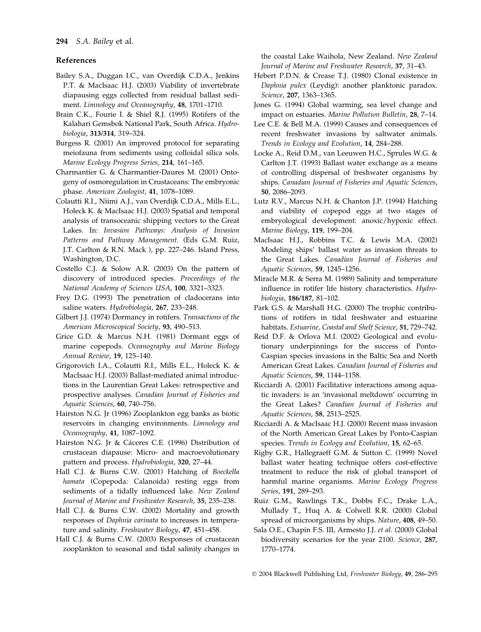#### References

- Bailey S.A., Duggan I.C., van Overdijk C.D.A., Jenkins P.T. & MacIsaac H.J. (2003) Viability of invertebrate diapausing eggs collected from residual ballast sediment. Limnology and Oceanography, 48, 1701-1710.
- Brain C.K., Fourie I. & Shiel R.J. (1995) Rotifers of the Kalahari Gemsbok National Park, South Africa. Hydrobiologia, 313/314, 319–324.
- Burgess R. (2001) An improved protocol for separating meiofauna from sediments using colloidal silica sols. Marine Ecology Progress Series, 214, 161–165.
- Charmantier G. & Charmantier-Daures M. (2001) Ontogeny of osmoregulation in Crustaceans: The embryonic phase. American Zoologist, 41, 1078–1089.
- Colautti R.I., Niimi A.J., van Overdijk C.D.A., Mills E.L., Holeck K. & MacIsaac H.J. (2003) Spatial and temporal analysis of transoceanic shipping vectors to the Great Lakes. In: Invasion Pathways: Analysis of Invasion Patterns and Pathway Management. (Eds G.M. Ruiz, J.T. Carlton & R.N. Mack ), pp. 227–246. Island Press, Washington, D.C.
- Costello C.J. & Solow A.R. (2003) On the pattern of discovery of introduced species. Proceedings of the National Academy of Sciences USA, 100, 3321–3323.
- Frey D.G. (1993) The penetration of cladocerans into saline waters. Hydrobiologia, 267, 233–248.
- Gilbert J.J. (1974) Dormancy in rotifers. Transactions of the American Microscopical Society, 93, 490–513.
- Grice G.D. & Marcus N.H. (1981) Dormant eggs of marine copepods. Oceanography and Marine Biology Annual Review, 19, 125–140.
- Grigorovich I.A., Colautti R.I., Mills E.L., Holeck K. & MacIsaac H.J. (2003) Ballast-mediated animal introductions in the Laurentian Great Lakes: retrospective and prospective analyses. Canadian Journal of Fisheries and Aquatic Sciences, 60, 740–756.
- Hairston N.G. Jr (1996) Zooplankton egg banks as biotic reservoirs in changing environments. Limnology and Oceanography, 41, 1087–1092.
- Hairston N.G. Jr & Cáceres C.E. (1996) Distribution of crustacean diapause: Micro- and macroevolutionary pattern and process. Hydrobiologia, 320, 27–44.
- Hall C.J. & Burns C.W. (2001) Hatching of Boeckella hamata (Copepoda: Calanoida) resting eggs from sediments of a tidally influenced lake. New Zealand Journal of Marine and Freshwater Research, 35, 235–238.
- Hall C.J. & Burns C.W. (2002) Mortality and growth responses of Daphnia carinata to increases in temperature and salinity. Freshwater Biology, 47, 451–458.
- Hall C.J. & Burns C.W. (2003) Responses of crustacean zooplankton to seasonal and tidal salinity changes in

the coastal Lake Waihola, New Zealand. New Zealand Journal of Marine and Freshwater Research, 37, 31–43.

- Hebert P.D.N. & Crease T.J. (1980) Clonal existence in Daphnia pulex (Leydig): another planktonic paradox. Science, 207, 1363–1365.
- Jones G. (1994) Global warming, sea level change and impact on estuaries. Marine Pollution Bulletin, 28, 7–14.
- Lee C.E. & Bell M.A. (1999) Causes and consequences of recent freshwater invasions by saltwater animals. Trends in Ecology and Evolution, 14, 284–288.
- Locke A., Reid D.M., van Leeuwen H.C., Sprules W.G. & Carlton J.T. (1993) Ballast water exchange as a means of controlling dispersal of freshwater organisms by ships. Canadian Journal of Fisheries and Aquatic Sciences, 50, 2086–2093.
- Lutz R.V., Marcus N.H. & Chanton J.P. (1994) Hatching and viability of copepod eggs at two stages of embryological development: anoxic/hypoxic effect. Marine Biology, 119, 199–204.
- MacIsaac H.J., Robbins T.C. & Lewis M.A. (2002) Modeling ships' ballast water as invasion threats to the Great Lakes. Canadian Journal of Fisheries and Aquatic Sciences, 59, 1245–1256.
- Miracle M.R. & Serra M. (1989) Salinity and temperature influence in rotifer life history characteristics. Hydrobiologia, 186/187, 81–102.
- Park G.S. & Marshall H.G. (2000) The trophic contributions of rotifers in tidal freshwater and estuarine habitats. Estuarine, Coastal and Shelf Science, 51, 729-742.
- Reid D.F. & Orlova M.I. (2002) Geological and evolutionary underpinnings for the success of Ponto-Caspian species invasions in the Baltic Sea and North American Great Lakes. Canadian Journal of Fisheries and Aquatic Sciences, 59, 1144–1158.
- Ricciardi A. (2001) Facilitative interactions among aquatic invaders: is an 'invasional meltdown' occurring in the Great Lakes? Canadian Journal of Fisheries and Aquatic Sciences, 58, 2513–2525.
- Ricciardi A. & MacIsaac H.J. (2000) Recent mass invasion of the North American Great Lakes by Ponto-Caspian species. Trends in Ecology and Evolution, 15, 62-65.
- Rigby G.R., Hallegraeff G.M. & Sutton C. (1999) Novel ballast water heating technique offers cost-effective treatment to reduce the risk of global transport of harmful marine organisms. Marine Ecology Progress Series, 191, 289–293.
- Ruiz G.M., Rawlings T.K., Dobbs F.C., Drake L.A., Mullady T., Huq A. & Colwell R.R. (2000) Global spread of microorganisms by ships. Nature, 408, 49–50.
- Sala O.E., Chapin F.S. III, Armesto J.J. et al. (2000) Global biodiversity scenarios for the year 2100. Science, 287, 1770–1774.

2004 Blackwell Publishing Ltd, Freshwater Biology, 49, 286–295